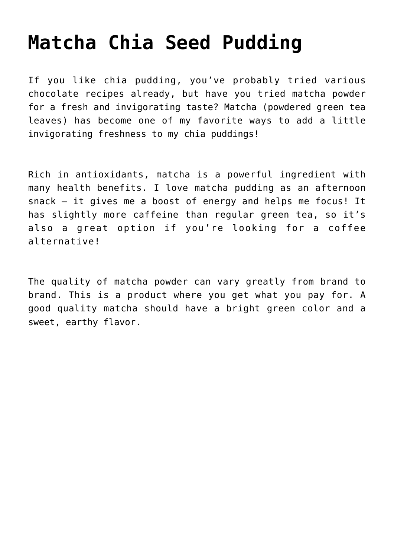## **[Matcha Chia Seed Pudding](https://sproutshealth.com/matcha-chia-seed-pudding/)**

If you like chia pudding, you've probably tried various chocolate recipes already, but have you tried matcha powder for a fresh and invigorating taste? Matcha (powdered green tea leaves) has become one of my favorite ways to add a little invigorating freshness to my chia puddings!

Rich in antioxidants, matcha is a powerful ingredient with many health benefits. I love matcha pudding as an afternoon snack – it gives me a boost of energy and helps me focus! It has slightly more caffeine than regular green tea, so it's also a great option if you're looking for a coffee alternative!

The quality of matcha powder can vary greatly from brand to brand. This is a product where you get what you pay for. A good quality matcha should have a bright green color and a sweet, earthy flavor.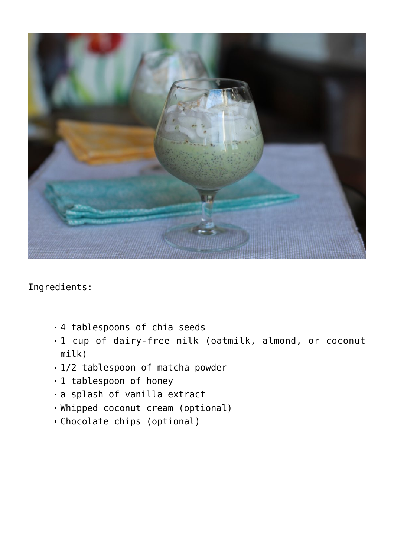

Ingredients:

- 4 tablespoons of chia seeds
- 1 cup of dairy-free milk (oatmilk, almond, or coconut milk)
- 1/2 tablespoon of matcha powder
- 1 tablespoon of honey
- a splash of vanilla extract
- Whipped coconut cream (optional)
- Chocolate chips (optional)